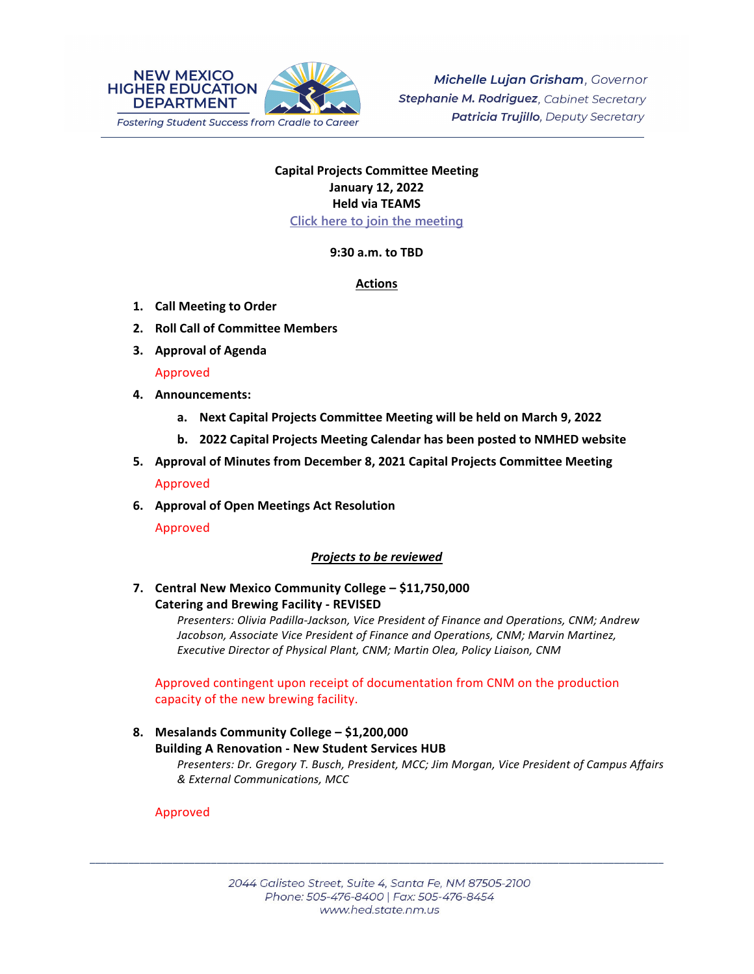

# **Capital Projects Committee Meeting January 12, 2022 Held via TEAMS Click here to join the meeting**

**9:30 a.m. to TBD**

# **Actions**

- **1. Call Meeting to Order**
- **2. Roll Call of Committee Members**
- **3. Approval of Agenda**

# Approved

- **4. Announcements:**
	- **a. Next Capital Projects Committee Meeting will be held on March 9, 2022**
	- **b. 2022 Capital Projects Meeting Calendar has been posted to NMHED website**
- **5. Approval of Minutes from December 8, 2021 Capital Projects Committee Meeting**

Approved

**6. Approval of Open Meetings Act Resolution** 

Approved

# *Projects to be reviewed*

**7. Central New Mexico Community College – \$11,750,000 Catering and Brewing Facility ‐ REVISED**

> *Presenters: Olivia Padilla‐Jackson, Vice President of Finance and Operations, CNM; Andrew Jacobson, Associate Vice President of Finance and Operations, CNM; Marvin Martinez, Executive Director of Physical Plant, CNM; Martin Olea, Policy Liaison, CNM*

Approved contingent upon receipt of documentation from CNM on the production capacity of the new brewing facility.

# **8. Mesalands Community College – \$1,200,000 Building A Renovation ‐ New Student Services HUB** *Presenters: Dr. Gregory T. Busch, President, MCC; Jim Morgan, Vice President of Campus Affairs & External Communications, MCC*

# Approved

\_\_\_\_\_\_\_\_\_\_\_\_\_\_\_\_\_\_\_\_\_\_\_\_\_\_\_\_\_\_\_\_\_\_\_\_\_\_\_\_\_\_\_\_\_\_\_\_\_\_\_\_\_\_\_\_\_\_\_\_\_\_\_\_\_\_\_\_\_\_\_\_\_\_\_\_\_\_\_\_\_\_\_\_\_\_\_\_\_\_\_\_\_\_\_\_\_\_\_\_\_\_\_\_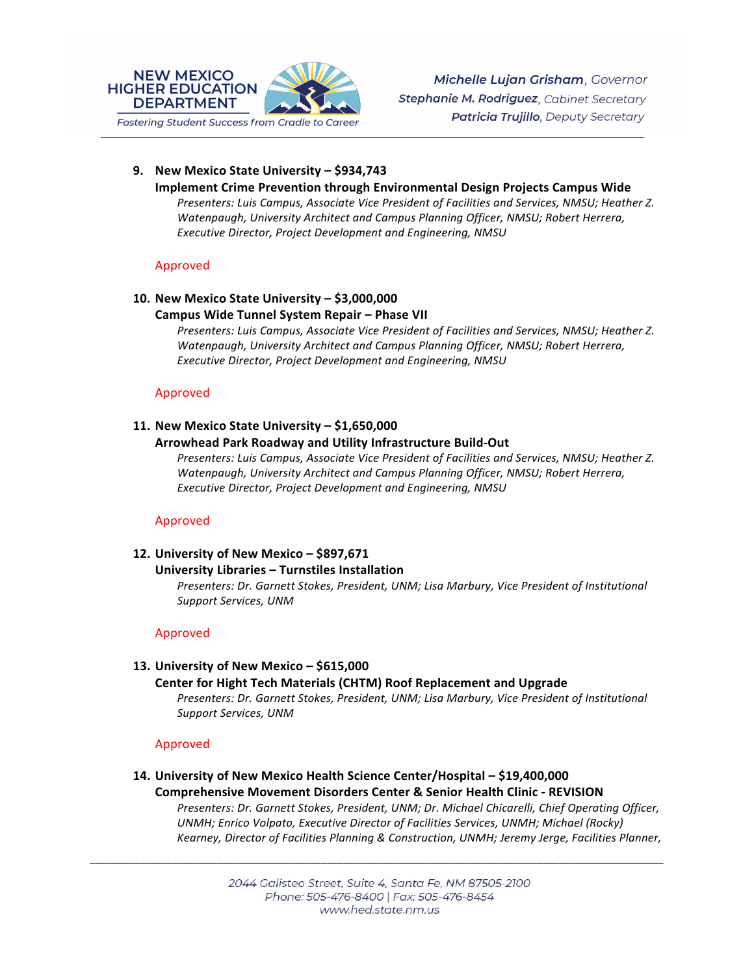

# **9. New Mexico State University – \$934,743**

#### **Implement Crime Prevention through Environmental Design Projects Campus Wide**

*Presenters: Luis Campus, Associate Vice President of Facilities and Services, NMSU; Heather Z. Watenpaugh, University Architect and Campus Planning Officer, NMSU; Robert Herrera, Executive Director, Project Development and Engineering, NMSU*

#### Approved

# **10. New Mexico State University – \$3,000,000**

#### **Campus Wide Tunnel System Repair – Phase VII**

*Presenters: Luis Campus, Associate Vice President of Facilities and Services, NMSU; Heather Z. Watenpaugh, University Architect and Campus Planning Officer, NMSU; Robert Herrera, Executive Director, Project Development and Engineering, NMSU*

#### Approved

# **11. New Mexico State University – \$1,650,000**

#### **Arrowhead Park Roadway and Utility Infrastructure Build‐Out**

*Presenters: Luis Campus, Associate Vice President of Facilities and Services, NMSU; Heather Z. Watenpaugh, University Architect and Campus Planning Officer, NMSU; Robert Herrera, Executive Director, Project Development and Engineering, NMSU*

# Approved

# **12. University of New Mexico – \$897,671**

#### **University Libraries – Turnstiles Installation**

*Presenters: Dr. Garnett Stokes, President, UNM; Lisa Marbury, Vice President of Institutional Support Services, UNM* 

# Approved

# **13. University of New Mexico – \$615,000**

#### **Center for Hight Tech Materials (CHTM) Roof Replacement and Upgrade**  *Presenters: Dr. Garnett Stokes, President, UNM; Lisa Marbury, Vice President of Institutional*

*Support Services, UNM* 

# Approved

#### **14. University of New Mexico Health Science Center/Hospital – \$19,400,000 Comprehensive Movement Disorders Center & Senior Health Clinic ‐ REVISION**  *Presenters: Dr. Garnett Stokes, President, UNM; Dr. Michael Chicarelli, Chief Operating Officer, UNMH; Enrico Volpato, Executive Director of Facilities Services, UNMH; Michael (Rocky) Kearney, Director of Facilities Planning & Construction, UNMH; Jeremy Jerge, Facilities Planner,*

2044 Galisteo Street, Suite 4, Santa Fe, NM 87505-2100 Phone: 505-476-8400 | Fax: 505-476-8454 www.hed.state.nm.us

\_\_\_\_\_\_\_\_\_\_\_\_\_\_\_\_\_\_\_\_\_\_\_\_\_\_\_\_\_\_\_\_\_\_\_\_\_\_\_\_\_\_\_\_\_\_\_\_\_\_\_\_\_\_\_\_\_\_\_\_\_\_\_\_\_\_\_\_\_\_\_\_\_\_\_\_\_\_\_\_\_\_\_\_\_\_\_\_\_\_\_\_\_\_\_\_\_\_\_\_\_\_\_\_